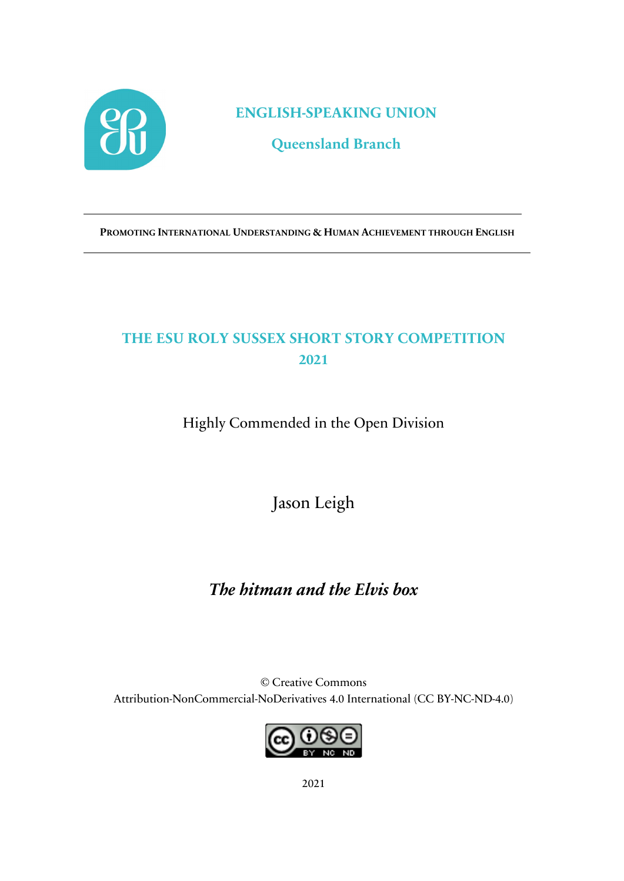

**ENGLISH-SPEAKING UNION**

**Queensland Branch**

**PROMOTING INTERNATIONAL UNDERSTANDING & HUMAN ACHIEVEMENT THROUGH ENGLISH**

## **THE ESU ROLY SUSSEX SHORT STORY COMPETITION 2021**

Highly Commended in the Open Division

Jason Leigh

## *The hitman and the Elvis box*

© Creative Commons Attribution-NonCommercial-NoDerivatives 4.0 International (CC BY-NC-ND-4.0)



2021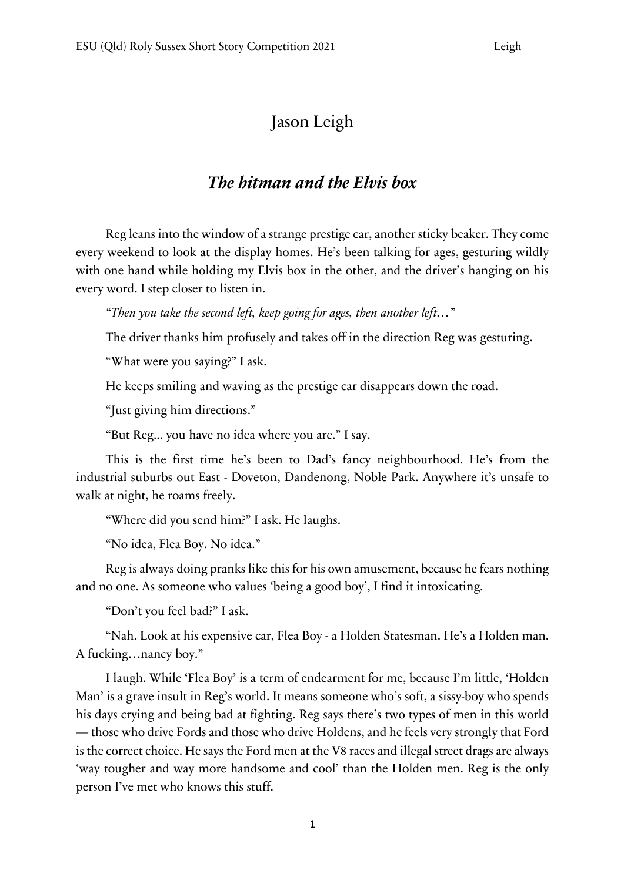## Jason Leigh

## *The hitman and the Elvis box*

Reg leans into the window of a strange prestige car, another sticky beaker. They come every weekend to look at the display homes. He's been talking for ages, gesturing wildly with one hand while holding my Elvis box in the other, and the driver's hanging on his every word. I step closer to listen in.

*"Then you take the second left, keep going for ages, then another left…"*

The driver thanks him profusely and takes off in the direction Reg was gesturing.

"What were you saying?" I ask.

He keeps smiling and waving as the prestige car disappears down the road.

"Just giving him directions."

"But Reg... you have no idea where you are." I say.

This is the first time he's been to Dad's fancy neighbourhood. He's from the industrial suburbs out East - Doveton, Dandenong, Noble Park. Anywhere it's unsafe to walk at night, he roams freely.

"Where did you send him?" I ask. He laughs.

"No idea, Flea Boy. No idea."

Reg is always doing pranks like this for his own amusement, because he fears nothing and no one. As someone who values 'being a good boy', I find it intoxicating.

"Don't you feel bad?" I ask.

"Nah. Look at his expensive car, Flea Boy - a Holden Statesman. He's a Holden man. A fucking…nancy boy."

I laugh. While 'Flea Boy' is a term of endearment for me, because I'm little, 'Holden Man' is a grave insult in Reg's world. It means someone who's soft, a sissy-boy who spends his days crying and being bad at fighting. Reg says there's two types of men in this world — those who drive Fords and those who drive Holdens, and he feels very strongly that Ford is the correct choice. He says the Ford men at the V8 races and illegal street drags are always 'way tougher and way more handsome and cool' than the Holden men. Reg is the only person I've met who knows this stuff.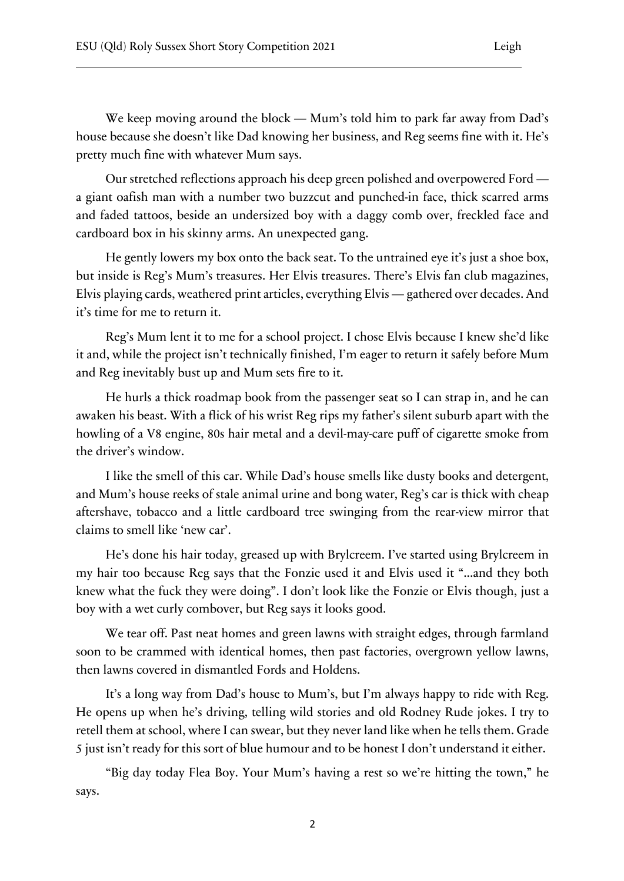We keep moving around the block — Mum's told him to park far away from Dad's house because she doesn't like Dad knowing her business, and Reg seems fine with it. He's pretty much fine with whatever Mum says.

Our stretched reflections approach his deep green polished and overpowered Ford a giant oafish man with a number two buzzcut and punched-in face, thick scarred arms and faded tattoos, beside an undersized boy with a daggy comb over, freckled face and cardboard box in his skinny arms. An unexpected gang.

He gently lowers my box onto the back seat. To the untrained eye it's just a shoe box, but inside is Reg's Mum's treasures. Her Elvis treasures. There's Elvis fan club magazines, Elvis playing cards, weathered print articles, everything Elvis — gathered over decades. And it's time for me to return it.

Reg's Mum lent it to me for a school project. I chose Elvis because I knew she'd like it and, while the project isn't technically finished, I'm eager to return it safely before Mum and Reg inevitably bust up and Mum sets fire to it.

He hurls a thick roadmap book from the passenger seat so I can strap in, and he can awaken his beast. With a flick of his wrist Reg rips my father's silent suburb apart with the howling of a V8 engine, 80s hair metal and a devil-may-care puff of cigarette smoke from the driver's window.

I like the smell of this car. While Dad's house smells like dusty books and detergent, and Mum's house reeks of stale animal urine and bong water, Reg's car is thick with cheap aftershave, tobacco and a little cardboard tree swinging from the rear-view mirror that claims to smell like 'new car'.

He's done his hair today, greased up with Brylcreem. I've started using Brylcreem in my hair too because Reg says that the Fonzie used it and Elvis used it "...and they both knew what the fuck they were doing". I don't look like the Fonzie or Elvis though, just a boy with a wet curly combover, but Reg says it looks good.

We tear off. Past neat homes and green lawns with straight edges, through farmland soon to be crammed with identical homes, then past factories, overgrown yellow lawns, then lawns covered in dismantled Fords and Holdens.

It's a long way from Dad's house to Mum's, but I'm always happy to ride with Reg. He opens up when he's driving, telling wild stories and old Rodney Rude jokes. I try to retell them at school, where I can swear, but they never land like when he tells them. Grade 5 just isn't ready for this sort of blue humour and to be honest I don't understand it either.

"Big day today Flea Boy. Your Mum's having a rest so we're hitting the town," he says.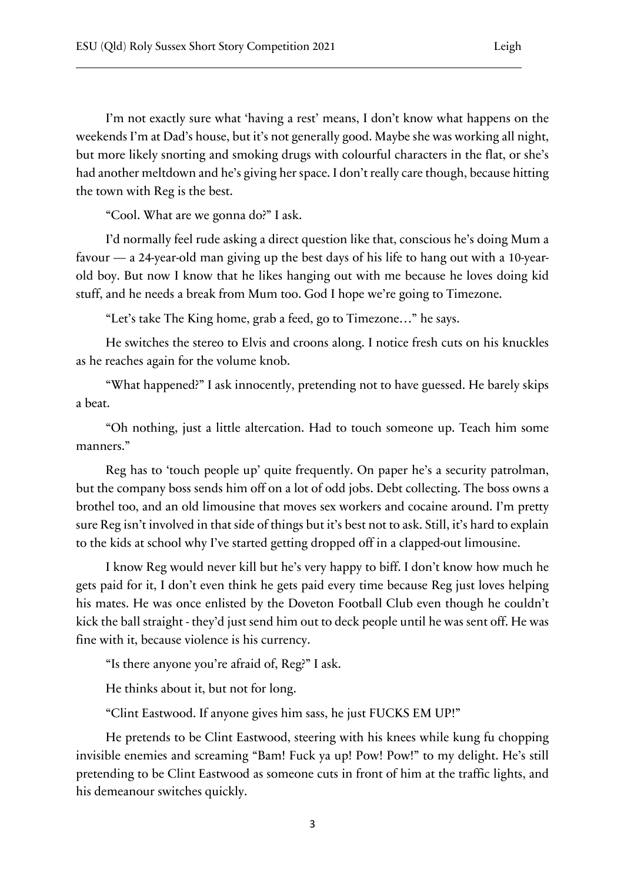I'm not exactly sure what 'having a rest' means, I don't know what happens on the weekends I'm at Dad's house, but it's not generally good. Maybe she was working all night, but more likely snorting and smoking drugs with colourful characters in the flat, or she's had another meltdown and he's giving her space. I don't really care though, because hitting the town with Reg is the best.

"Cool. What are we gonna do?" I ask.

I'd normally feel rude asking a direct question like that, conscious he's doing Mum a favour — a 24-year-old man giving up the best days of his life to hang out with a 10-yearold boy. But now I know that he likes hanging out with me because he loves doing kid stuff, and he needs a break from Mum too. God I hope we're going to Timezone.

"Let's take The King home, grab a feed, go to Timezone…" he says.

He switches the stereo to Elvis and croons along. I notice fresh cuts on his knuckles as he reaches again for the volume knob.

"What happened?" I ask innocently, pretending not to have guessed. He barely skips a beat.

"Oh nothing, just a little altercation. Had to touch someone up. Teach him some manners."

Reg has to 'touch people up' quite frequently. On paper he's a security patrolman, but the company boss sends him off on a lot of odd jobs. Debt collecting. The boss owns a brothel too, and an old limousine that moves sex workers and cocaine around. I'm pretty sure Reg isn't involved in that side of things but it's best not to ask. Still, it's hard to explain to the kids at school why I've started getting dropped off in a clapped-out limousine.

I know Reg would never kill but he's very happy to biff. I don't know how much he gets paid for it, I don't even think he gets paid every time because Reg just loves helping his mates. He was once enlisted by the Doveton Football Club even though he couldn't kick the ball straight - they'd just send him out to deck people until he was sent off. He was fine with it, because violence is his currency.

"Is there anyone you're afraid of, Reg?" I ask.

He thinks about it, but not for long.

"Clint Eastwood. If anyone gives him sass, he just FUCKS EM UP!"

He pretends to be Clint Eastwood, steering with his knees while kung fu chopping invisible enemies and screaming "Bam! Fuck ya up! Pow! Pow!" to my delight. He's still pretending to be Clint Eastwood as someone cuts in front of him at the traffic lights, and his demeanour switches quickly.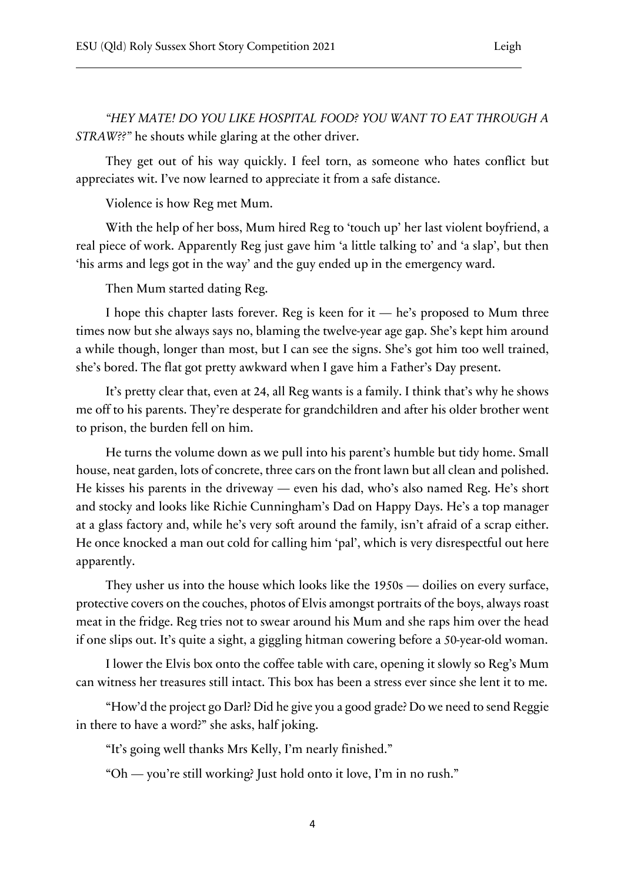*"HEY MATE! DO YOU LIKE HOSPITAL FOOD? YOU WANT TO EAT THROUGH A STRAW??"* he shouts while glaring at the other driver.

They get out of his way quickly. I feel torn, as someone who hates conflict but appreciates wit. I've now learned to appreciate it from a safe distance.

Violence is how Reg met Mum.

With the help of her boss, Mum hired Reg to 'touch up' her last violent boyfriend, a real piece of work. Apparently Reg just gave him 'a little talking to' and 'a slap', but then 'his arms and legs got in the way' and the guy ended up in the emergency ward.

Then Mum started dating Reg.

I hope this chapter lasts forever. Reg is keen for it  $-$  he's proposed to Mum three times now but she always says no, blaming the twelve-year age gap. She's kept him around a while though, longer than most, but I can see the signs. She's got him too well trained, she's bored. The flat got pretty awkward when I gave him a Father's Day present.

It's pretty clear that, even at 24, all Reg wants is a family. I think that's why he shows me off to his parents. They're desperate for grandchildren and after his older brother went to prison, the burden fell on him.

He turns the volume down as we pull into his parent's humble but tidy home. Small house, neat garden, lots of concrete, three cars on the front lawn but all clean and polished. He kisses his parents in the driveway — even his dad, who's also named Reg. He's short and stocky and looks like Richie Cunningham's Dad on Happy Days. He's a top manager at a glass factory and, while he's very soft around the family, isn't afraid of a scrap either. He once knocked a man out cold for calling him 'pal', which is very disrespectful out here apparently.

They usher us into the house which looks like the 1950s — doilies on every surface, protective covers on the couches, photos of Elvis amongst portraits of the boys, always roast meat in the fridge. Reg tries not to swear around his Mum and she raps him over the head if one slips out. It's quite a sight, a giggling hitman cowering before a 50-year-old woman.

I lower the Elvis box onto the coffee table with care, opening it slowly so Reg's Mum can witness her treasures still intact. This box has been a stress ever since she lent it to me.

"How'd the project go Darl? Did he give you a good grade? Do we need to send Reggie in there to have a word?" she asks, half joking.

"It's going well thanks Mrs Kelly, I'm nearly finished."

"Oh — you're still working? Just hold onto it love, I'm in no rush."